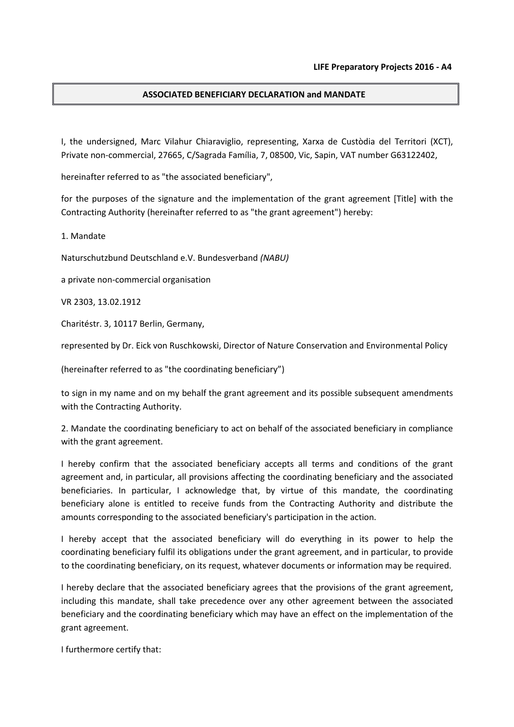## ASSOCIATED BENEFICIARY DECLARATION and MANDATE

I, the undersigned, Marc Vilahur Chiaraviglio, representing, Xarxa de Custòdia del Territori (XCT), Private non-commercial, 27665, C/Sagrada Família, 7, 08500, Vic, Sapin, VAT number G63122402,

hereinafter referred to as "the associated beneficiary",

for the purposes of the signature and the implementation of the grant agreement [Title] with the Contracting Authority (hereinafter referred to as "the grant agreement") hereby:

1. Mandate

Naturschutzbund Deutschland e.V. Bundesverband (NABU)

a private non-commercial organisation

VR 2303, 13.02.1912

Charitéstr. 3, 10117 Berlin, Germany,

represented by Dr. Eick von Ruschkowski, Director of Nature Conservation and Environmental Policy

(hereinafter referred to as "the coordinating beneficiary")

to sign in my name and on my behalf the grant agreement and its possible subsequent amendments with the Contracting Authority.

2. Mandate the coordinating beneficiary to act on behalf of the associated beneficiary in compliance with the grant agreement.

I hereby confirm that the associated beneficiary accepts all terms and conditions of the grant agreement and, in particular, all provisions affecting the coordinating beneficiary and the associated beneficiaries. In particular, I acknowledge that, by virtue of this mandate, the coordinating beneficiary alone is entitled to receive funds from the Contracting Authority and distribute the amounts corresponding to the associated beneficiary's participation in the action.

I hereby accept that the associated beneficiary will do everything in its power to help the coordinating beneficiary fulfil its obligations under the grant agreement, and in particular, to provide to the coordinating beneficiary, on its request, whatever documents or information may be required.

I hereby declare that the associated beneficiary agrees that the provisions of the grant agreement, including this mandate, shall take precedence over any other agreement between the associated beneficiary and the coordinating beneficiary which may have an effect on the implementation of the grant agreement.

I furthermore certify that: